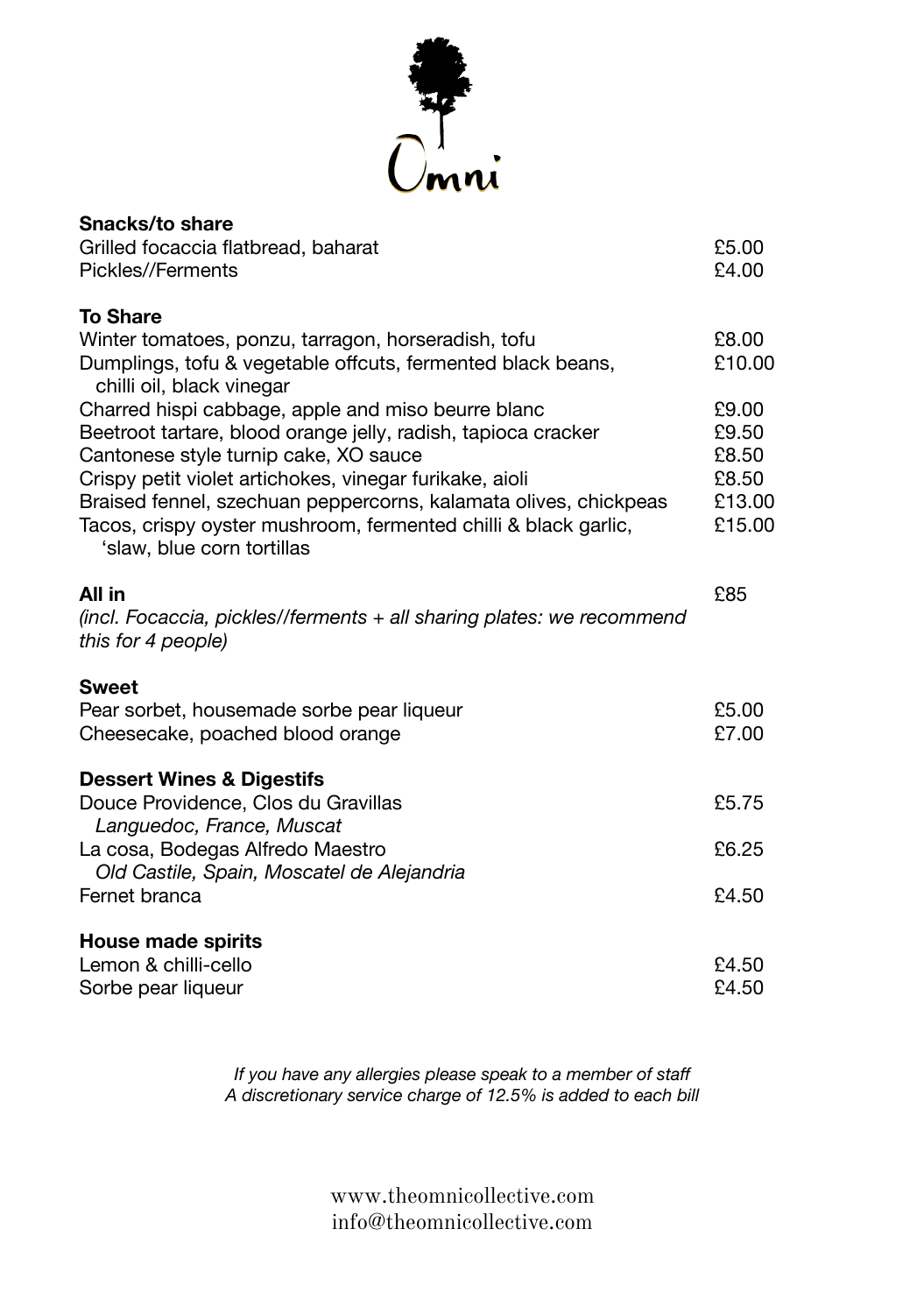

| Snacks/to share                                                                                                                                                                                                                                                                                                                                                                              |                                                      |
|----------------------------------------------------------------------------------------------------------------------------------------------------------------------------------------------------------------------------------------------------------------------------------------------------------------------------------------------------------------------------------------------|------------------------------------------------------|
| Grilled focaccia flatbread, baharat<br>Pickles//Ferments                                                                                                                                                                                                                                                                                                                                     | £5.00<br>£4.00                                       |
| <b>To Share</b>                                                                                                                                                                                                                                                                                                                                                                              |                                                      |
| Winter tomatoes, ponzu, tarragon, horseradish, tofu<br>Dumplings, tofu & vegetable offcuts, fermented black beans,<br>chilli oil, black vinegar                                                                                                                                                                                                                                              | £8.00<br>£10.00                                      |
| Charred hispi cabbage, apple and miso beurre blanc<br>Beetroot tartare, blood orange jelly, radish, tapioca cracker<br>Cantonese style turnip cake, XO sauce<br>Crispy petit violet artichokes, vinegar furikake, aioli<br>Braised fennel, szechuan peppercorns, kalamata olives, chickpeas<br>Tacos, crispy oyster mushroom, fermented chilli & black garlic,<br>'slaw, blue corn tortillas | £9.00<br>£9.50<br>£8.50<br>£8.50<br>£13.00<br>£15.00 |
| All in<br>(incl. Focaccia, pickles//ferments + all sharing plates: we recommend<br>this for 4 people)                                                                                                                                                                                                                                                                                        | £85                                                  |
| <b>Sweet</b><br>Pear sorbet, housemade sorbe pear liqueur<br>Cheesecake, poached blood orange                                                                                                                                                                                                                                                                                                | £5.00<br>£7.00                                       |
| <b>Dessert Wines &amp; Digestifs</b><br>Douce Providence, Clos du Gravillas                                                                                                                                                                                                                                                                                                                  | £5.75                                                |
| La cosa, Bodegas Alfredo Maestro<br>Old Castile, Spain, Moscatel de Alejandria                                                                                                                                                                                                                                                                                                               | £6.25                                                |
| Languedoc, France, Muscat<br>Fernet branca<br>House made spirits<br>Lemon & chilli-cello                                                                                                                                                                                                                                                                                                     | £4.50<br>£4.50                                       |
| Sorbe pear liqueur                                                                                                                                                                                                                                                                                                                                                                           | £4.50                                                |

*If you have any allergies please speak to a member of staff A discretionary service charge of 12.5% is added to each bill*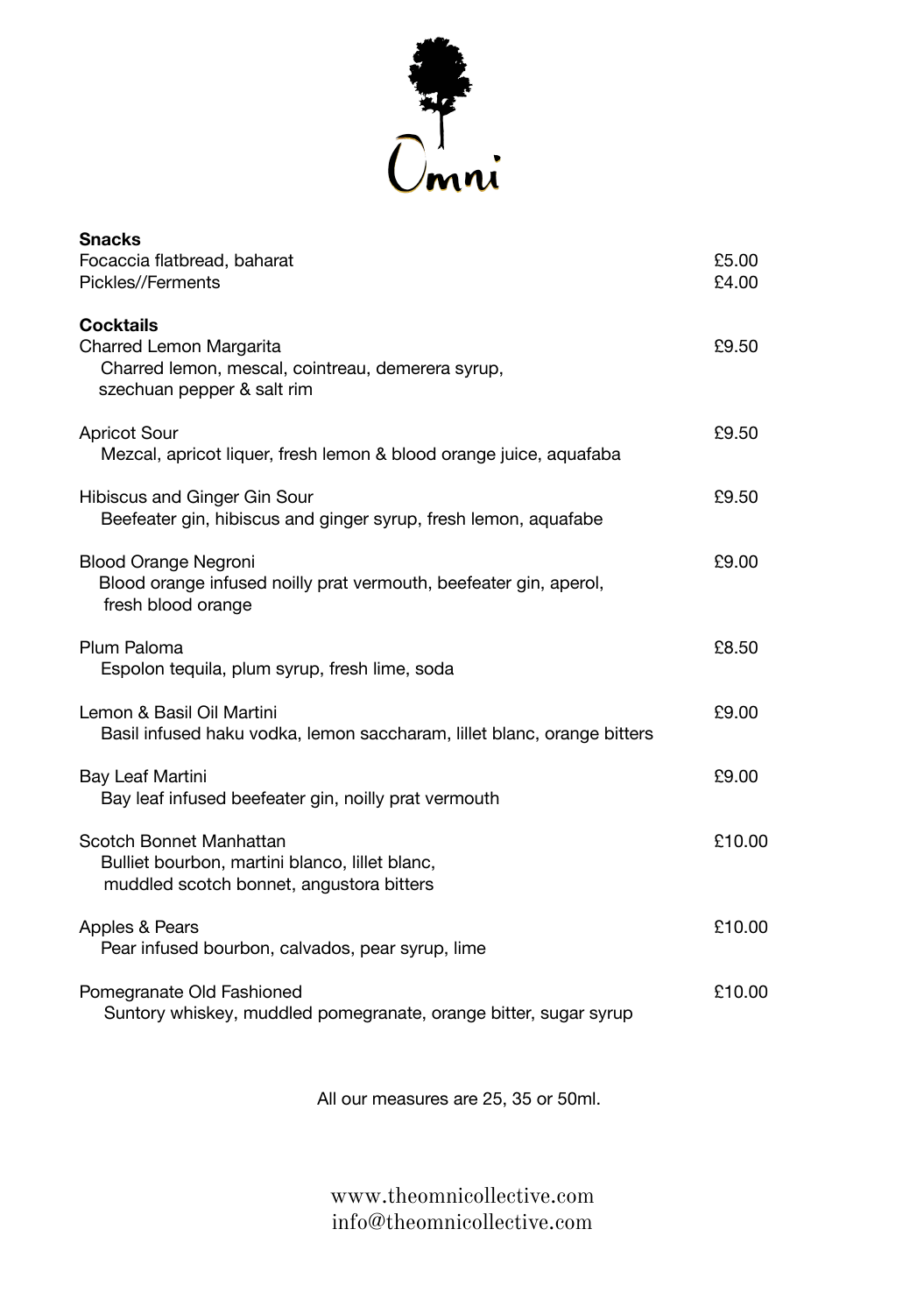

| <b>Snacks</b><br>Focaccia flatbread, baharat<br>Pickles//Ferments                                                              | £5.00<br>£4.00 |
|--------------------------------------------------------------------------------------------------------------------------------|----------------|
| <b>Cocktails</b><br>Charred Lemon Margarita<br>Charred lemon, mescal, cointreau, demerera syrup,<br>szechuan pepper & salt rim | £9.50          |
| <b>Apricot Sour</b><br>Mezcal, apricot liquer, fresh lemon & blood orange juice, aquafaba                                      | £9.50          |
| Hibiscus and Ginger Gin Sour<br>Beefeater gin, hibiscus and ginger syrup, fresh lemon, aquafabe                                | £9.50          |
| <b>Blood Orange Negroni</b><br>Blood orange infused noilly prat vermouth, beefeater gin, aperol,<br>fresh blood orange         | £9.00          |
| Plum Paloma<br>Espolon tequila, plum syrup, fresh lime, soda                                                                   | £8.50          |
| Lemon & Basil Oil Martini<br>Basil infused haku vodka, lemon saccharam, lillet blanc, orange bitters                           | £9.00          |
| Bay Leaf Martini<br>Bay leaf infused beefeater gin, noilly prat vermouth                                                       | £9.00          |
| Scotch Bonnet Manhattan<br>Bulliet bourbon, martini blanco, lillet blanc,<br>muddled scotch bonnet, angustora bitters          | £10.00         |
| Apples & Pears<br>Pear infused bourbon, calvados, pear syrup, lime                                                             | £10.00         |
| Pomegranate Old Fashioned<br>Suntory whiskey, muddled pomegranate, orange bitter, sugar syrup                                  | £10.00         |

All our measures are 25, 35 or 50ml.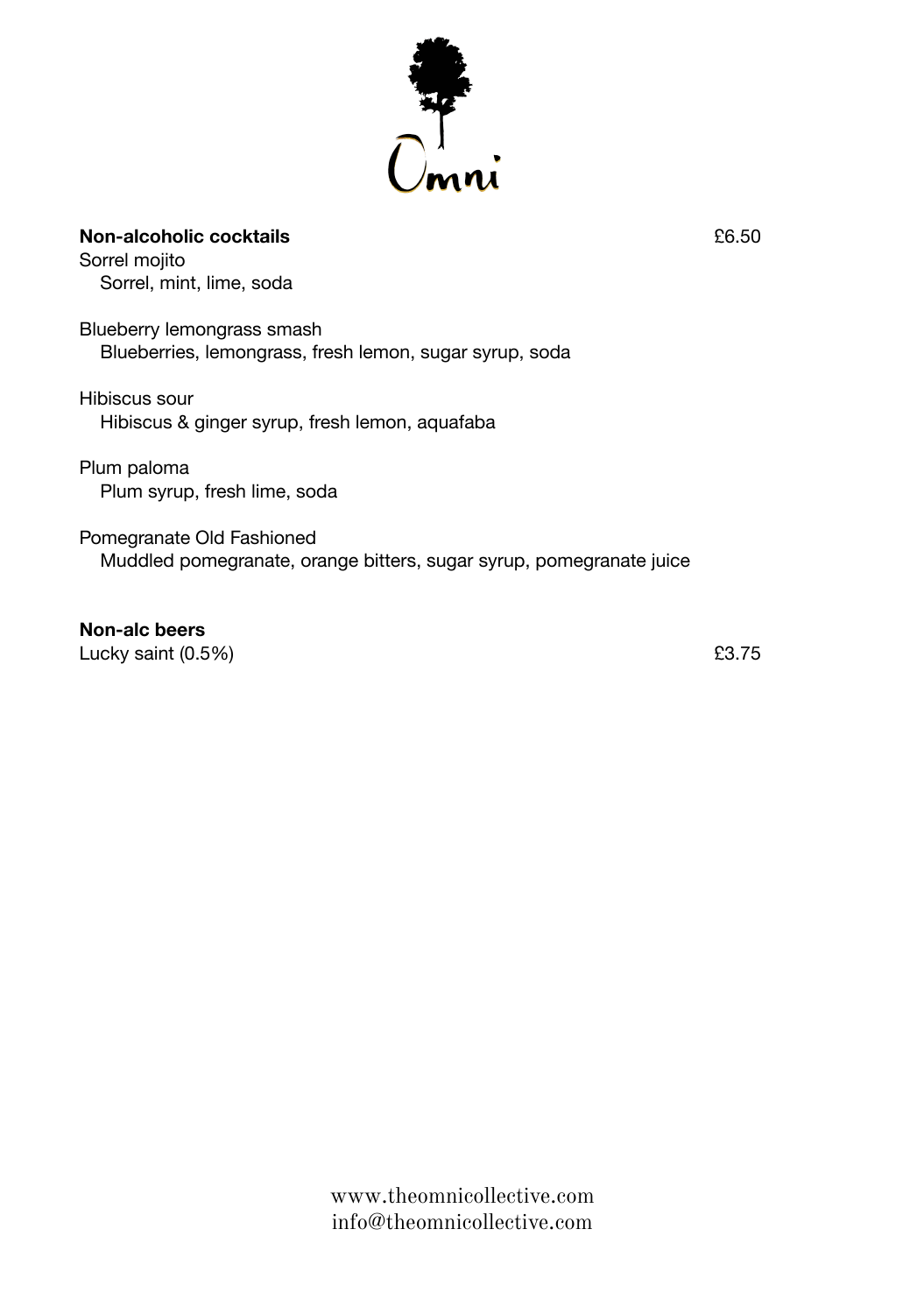

## **Non-alcoholic cocktails** £6.50

Sorrel mojito Sorrel, mint, lime, soda

Blueberry lemongrass smash Blueberries, lemongrass, fresh lemon, sugar syrup, soda

Hibiscus sour Hibiscus & ginger syrup, fresh lemon, aquafaba

Plum paloma Plum syrup, fresh lime, soda

Pomegranate Old Fashioned Muddled pomegranate, orange bitters, sugar syrup, pomegranate juice

**Non-alc beers** Lucky saint  $(0.5\%)$   $23.75$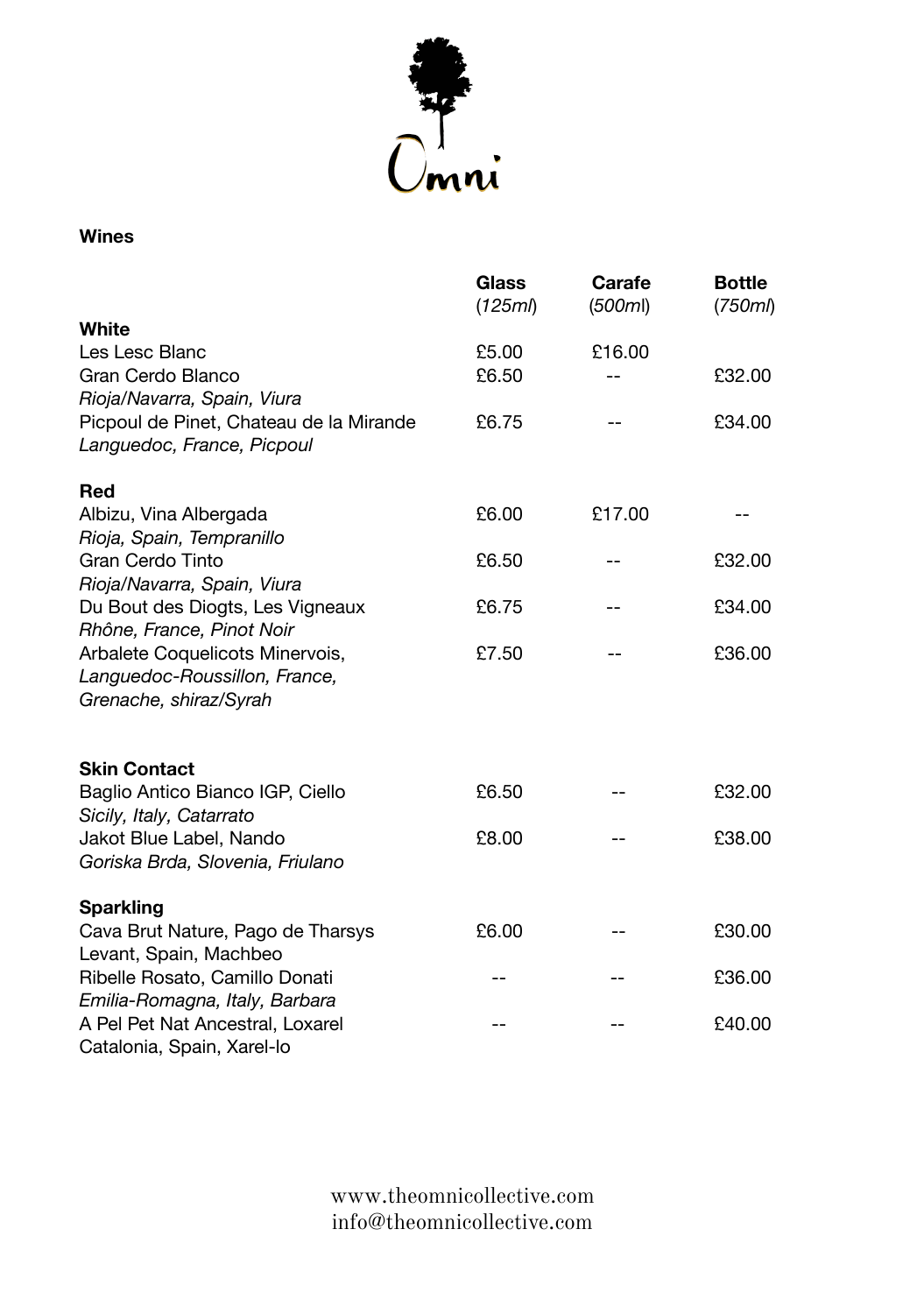

## **Wines**

|                                         | Glass<br>(125m) | Carafe<br>(500ml) | <b>Bottle</b><br>(750 <sub>m</sub> ) |
|-----------------------------------------|-----------------|-------------------|--------------------------------------|
| White                                   |                 |                   |                                      |
| Les Lesc Blanc                          | £5.00           | £16.00            |                                      |
| Gran Cerdo Blanco                       | £6.50           |                   | £32.00                               |
| Rioja/Navarra, Spain, Viura             |                 |                   |                                      |
| Picpoul de Pinet, Chateau de la Mirande | £6.75           |                   | £34.00                               |
| Languedoc, France, Picpoul              |                 |                   |                                      |
| Red                                     |                 |                   |                                      |
| Albizu, Vina Albergada                  | £6.00           | £17.00            |                                      |
| Rioja, Spain, Tempranillo               |                 |                   |                                      |
| <b>Gran Cerdo Tinto</b>                 | £6.50           |                   | £32.00                               |
| Rioja/Navarra, Spain, Viura             |                 |                   |                                      |
| Du Bout des Diogts, Les Vigneaux        | £6.75           |                   | £34.00                               |
| Rhône, France, Pinot Noir               |                 |                   |                                      |
| Arbalete Coquelicots Minervois,         | £7.50           |                   | £36.00                               |
| Languedoc-Roussillon, France,           |                 |                   |                                      |
| Grenache, shiraz/Syrah                  |                 |                   |                                      |
| <b>Skin Contact</b>                     |                 |                   |                                      |
| Baglio Antico Bianco IGP, Ciello        | £6.50           |                   | £32.00                               |
| Sicily, Italy, Catarrato                |                 |                   |                                      |
| Jakot Blue Label, Nando                 | £8.00           |                   | £38.00                               |
| Goriska Brda, Slovenia, Friulano        |                 |                   |                                      |
| <b>Sparkling</b>                        |                 |                   |                                      |
| Cava Brut Nature, Pago de Tharsys       | £6.00           |                   | £30.00                               |
| Levant, Spain, Machbeo                  |                 |                   |                                      |
| Ribelle Rosato, Camillo Donati          |                 |                   | £36.00                               |
| Emilia-Romagna, Italy, Barbara          |                 |                   |                                      |
| A Pel Pet Nat Ancestral, Loxarel        |                 |                   | £40.00                               |
| Catalonia, Spain, Xarel-lo              |                 |                   |                                      |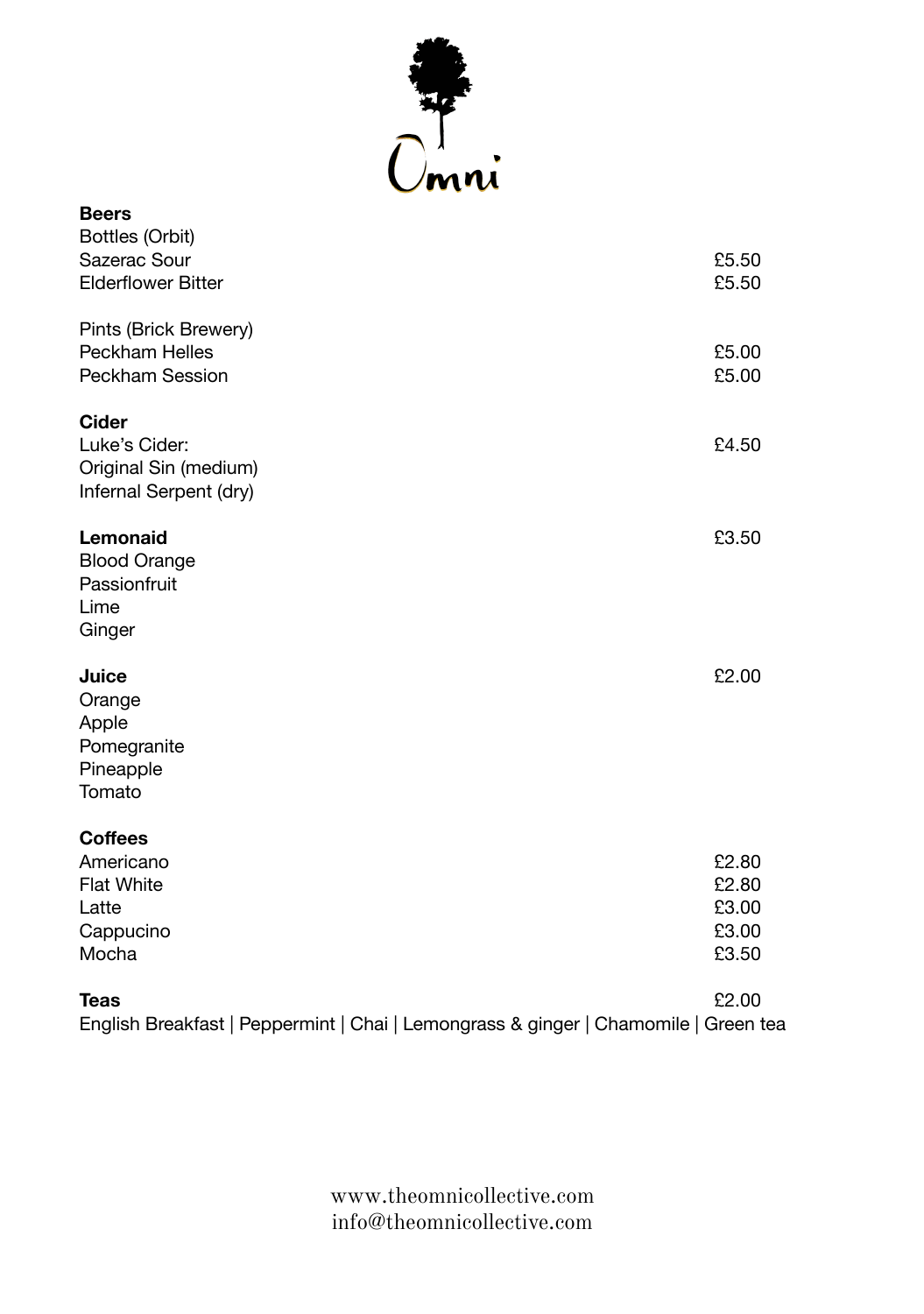

| <b>Beers</b>                                                                        |                |
|-------------------------------------------------------------------------------------|----------------|
| Bottles (Orbit)<br>Sazerac Sour                                                     | £5.50          |
| <b>Elderflower Bitter</b>                                                           | £5.50          |
| Pints (Brick Brewery)                                                               |                |
| Peckham Helles                                                                      | £5.00          |
| <b>Peckham Session</b>                                                              | £5.00          |
| Cider                                                                               |                |
| Luke's Cider:                                                                       | £4.50          |
| Original Sin (medium)                                                               |                |
| Infernal Serpent (dry)                                                              |                |
| Lemonaid                                                                            | £3.50          |
| <b>Blood Orange</b>                                                                 |                |
| Passionfruit                                                                        |                |
| Lime                                                                                |                |
| Ginger                                                                              |                |
| Juice                                                                               | £2.00          |
| Orange                                                                              |                |
| Apple                                                                               |                |
| Pomegranite                                                                         |                |
| Pineapple<br>Tomato                                                                 |                |
|                                                                                     |                |
| <b>Coffees</b>                                                                      |                |
| Americano                                                                           | £2.80          |
| <b>Flat White</b>                                                                   | £2.80          |
| Latte                                                                               | £3.00<br>£3.00 |
| Cappucino<br>Mocha                                                                  | £3.50          |
|                                                                                     |                |
| <b>Teas</b>                                                                         | £2.00          |
| English Breakfast   Peppermint   Chai   Lemongrass & ginger   Chamomile   Green tea |                |